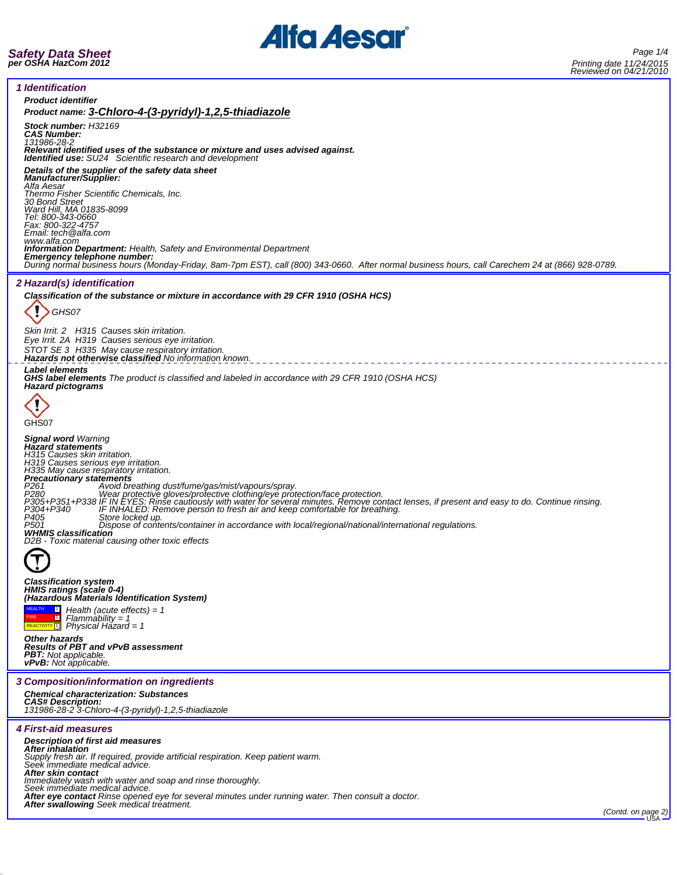

*Safety Data Sheet per OSHA HazCom 2012*

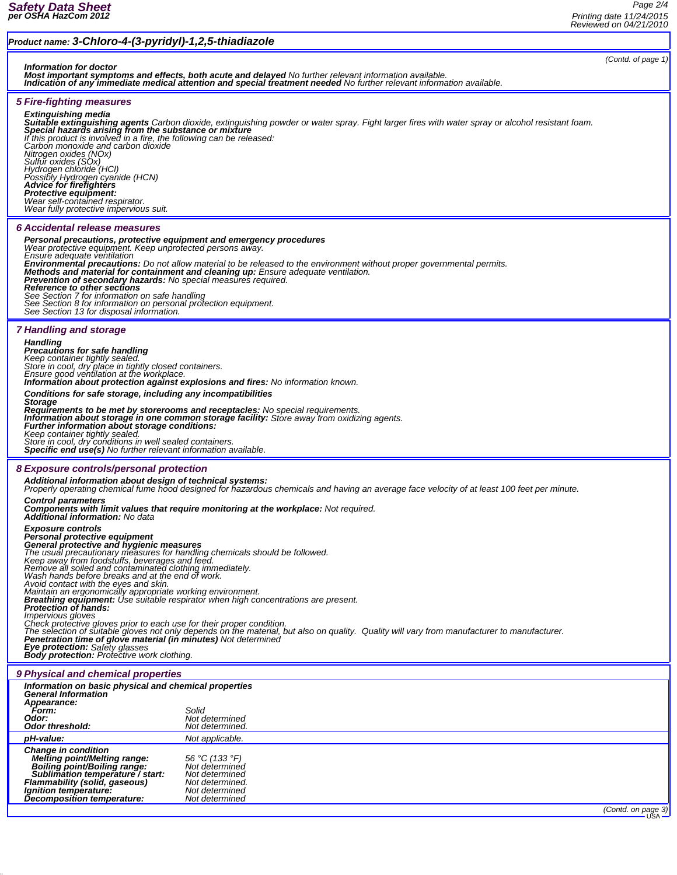## *Product name: 3-Chloro-4-(3-pyridyl)-1,2,5-thiadiazole (Contd. of page 1) Information for doctor Most important symptoms and effects, both acute and delayed No further relevant information available. Indication of any immediate medical attention and special treatment needed No further relevant information available. 5 Fire-fighting measures* **Extinguishing media**<br>**Suitable extinguishing agents** Carbon dioxide, extinguishing powder or water spray. Fight larger fires with water spray or alcohol resistant foam.<br>**Special hazards arising from the substance or mixtu** If this product is involved in a fire, the following can be released:<br>Carbon monoxide and carbon dioxide<br>Nitrogen oxides (NOx)<br>Sulfur oxides (SOx)<br>Hydrogen chloride (HCl)<br>Possibly Hydrogen cyanide (HCN)<br>**Advice for firefig** *Protective equipment: Wear self-contained respirator. Wear fully protective impervious suit. 6 Accidental release measures* **Personal precautions, protective equipment and emergency procedures**<br>Wear protective equipment. Keep unprotected persons away.<br>Ensure adequate ventilation Ensure adequate ventilation<br> **Environmental precautions:** Do not allow material to be reased to the environment without proper governmental permits.<br> **Methods and material for containment and cleaning up:** Ensure adequate *See Section 7 for information on safe handling See Section 8 for information on personal protection equipment. See Section 13 for disposal information. 7 Handling and storage Handling Precautions for safe handling Keep container tightly sealed. Store in cool, dry place in tightly closed containers. Ensure good ventilation at the workplace. Information about protection against explosions and fires: No information known. Conditions for safe storage, including any incompatibilities Storage* Requirements to be met by storerooms and receptacles: No special requirements.<br>Information about storage in one common storage facility: Store away from oxidizing agents. *Further information about storage conditions:*<br>Keep container tightly sealed. *Store in cool, dry conditions in well sealed containers. Specific end use(s) No further relevant information available. 8 Exposure controls/personal protection Additional information about design of technical systems: Properly operating chemical fume hood designed for hazardous chemicals and having an average face velocity of at least 100 feet per minute. Control parameters Components with limit values that require monitoring at the workplace: Not required. Additional information: No data Exposure controls Personal protective equipment General protective and hygienic measures* The usual precautionary measures for handling chemicals should be followed.<br>Keep away from foodstuffs, beverages and feed.<br>Remove all soiled and contaminated clothing immediately.<br>Wash hands before breaks and at the end of *Breathing equipment: Use suitable respirator when high concentrations are present. Protection of hands: Impervious gloves*<br>Impervious gloves prior to each use for their proper condition.<br>Check protective gloves prior to each use for their praterial, k Check protective gloves prior to each use for their proper condition.<br>The selection of suitable gloves not only depends on the material, but also on quality. Quality will vary from manufacturer to manufacturer.<br>**Penetratio** *9 Physical and chemical properties Information on basic physical and chemical properties General Information Appearance: Form: Solid Odor: Not determined Odor threshold: Not determined. pH-value: Not applicable.* Change in condition<br>
Melting point/Melting range:<br>
Boiling point/Melting range:<br>
Sublimation temperature / start:<br>
Flammability (solid, gaseous)<br>
Mot determined<br>
Decomposition temperature:<br>
Not determined<br>
Decomposition te *(Contd. on page 3)*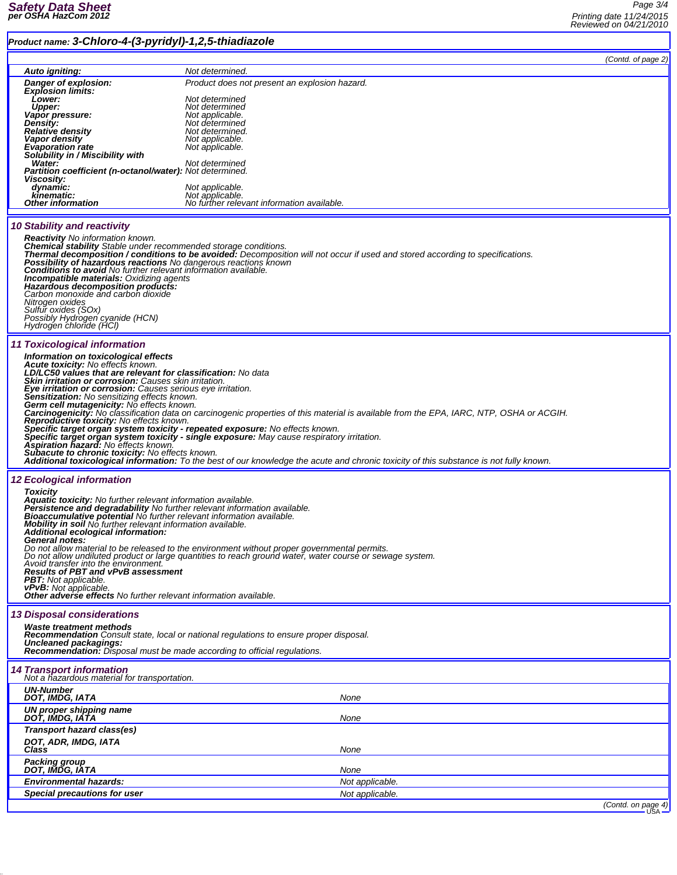## *Product name: 3-Chloro-4-(3-pyridyl)-1,2,5-thiadiazole*

 $\overline{\phantom{a}}$ 

|                                                                                                                                                                                                                                                                                                                                                                                                                                                                                                                                                                                                                                                                                                                                                                                                                                                                                                                                                                                                                                        |                                                                  | (Contd. of page 2) |  |
|----------------------------------------------------------------------------------------------------------------------------------------------------------------------------------------------------------------------------------------------------------------------------------------------------------------------------------------------------------------------------------------------------------------------------------------------------------------------------------------------------------------------------------------------------------------------------------------------------------------------------------------------------------------------------------------------------------------------------------------------------------------------------------------------------------------------------------------------------------------------------------------------------------------------------------------------------------------------------------------------------------------------------------------|------------------------------------------------------------------|--------------------|--|
| Auto igniting:<br>Danger of explosion:                                                                                                                                                                                                                                                                                                                                                                                                                                                                                                                                                                                                                                                                                                                                                                                                                                                                                                                                                                                                 | Not determined.<br>Product does not present an explosion hazard. |                    |  |
| <b>Explosion limits:</b>                                                                                                                                                                                                                                                                                                                                                                                                                                                                                                                                                                                                                                                                                                                                                                                                                                                                                                                                                                                                               |                                                                  |                    |  |
| Lower:<br>Upper:                                                                                                                                                                                                                                                                                                                                                                                                                                                                                                                                                                                                                                                                                                                                                                                                                                                                                                                                                                                                                       | Not determined<br>Not determined                                 |                    |  |
| Vapor pressure:<br>Density:                                                                                                                                                                                                                                                                                                                                                                                                                                                                                                                                                                                                                                                                                                                                                                                                                                                                                                                                                                                                            | Not applicable.<br>Not determined                                |                    |  |
| <b>Relative density</b>                                                                                                                                                                                                                                                                                                                                                                                                                                                                                                                                                                                                                                                                                                                                                                                                                                                                                                                                                                                                                | Not determined.                                                  |                    |  |
| <b>Vapor density</b><br><b>Evaporation rate</b>                                                                                                                                                                                                                                                                                                                                                                                                                                                                                                                                                                                                                                                                                                                                                                                                                                                                                                                                                                                        | Not applicable.<br>Not applicable.                               |                    |  |
| Solubility in / Miscibility with<br>Water:                                                                                                                                                                                                                                                                                                                                                                                                                                                                                                                                                                                                                                                                                                                                                                                                                                                                                                                                                                                             | Not determined                                                   |                    |  |
| Partition coefficient (n-octanol/water): Not determined.                                                                                                                                                                                                                                                                                                                                                                                                                                                                                                                                                                                                                                                                                                                                                                                                                                                                                                                                                                               |                                                                  |                    |  |
| Viscosity:<br>dynamic:                                                                                                                                                                                                                                                                                                                                                                                                                                                                                                                                                                                                                                                                                                                                                                                                                                                                                                                                                                                                                 | Not applicable.                                                  |                    |  |
| kinematic:<br>Other information                                                                                                                                                                                                                                                                                                                                                                                                                                                                                                                                                                                                                                                                                                                                                                                                                                                                                                                                                                                                        | Not applicable.<br>No further relevant information available.    |                    |  |
|                                                                                                                                                                                                                                                                                                                                                                                                                                                                                                                                                                                                                                                                                                                                                                                                                                                                                                                                                                                                                                        |                                                                  |                    |  |
| <b>10 Stability and reactivity</b><br><b>Reactivity</b> No information known.<br><b>Chemical stability</b> Stable under recommended storage conditions.<br>Thermal decomposition / conditions to be avoided: Decomposition will not occur if used and stored according to specifications.<br>Possibility of hazardous reactions No dangerous reactions known<br><b>Conditions to avoid</b> No further relevant information available.<br><b>Incompatible materials: Oxidizing agents</b><br>Hazardous decomposition products:<br>Carbon monoxide and carbon dioxide<br>Nitrogen oxides<br>Sulfur oxides (SOx)<br>Possibly Hydrogen cyanide (HCN)<br>Hydrogen chloride (HCl)                                                                                                                                                                                                                                                                                                                                                            |                                                                  |                    |  |
| <b>11 Toxicological information</b><br>Information on toxicological effects<br>Acute toxicity: No effects known.<br>LD/LC50 values that are relevant for classification: No data<br>Skin irritation or corrosion: Causes skin irritation.<br>Eye irritation or corrosion: Causes serious eye irritation.<br><b>Sensitization:</b> No sensitizing effects known.<br>Germ cell mutagenicity: No effects known.<br>Carcinogenicity: No classification data on carcinogenic properties of this material is available from the EPA, IARC, NTP, OSHA or ACGIH.<br><b>Reproductive toxicity:</b> No effects known.<br>Specific target organ system toxicity - repeated exposure: No effects known.<br>Specific target organ system toxicity - single exposure: May cause respiratory irritation.<br>Aspiration hazard: No effects known.<br><b>Subacute to chronic toxicity:</b> No effects known.<br>Additional toxicological information: To the best of our knowledge the acute and chronic toxicity of this substance is not fully known. |                                                                  |                    |  |
| <b>12 Ecological information</b><br><b>Toxicity</b><br><b>Aquatic toxicity:</b> No further relevant information available.<br>Persistence and degradability No further relevant information available.<br>Bioaccumulative potential No further relevant information available.<br>Mobility in soil No further relevant information available.<br>Additional ecological information:<br><i><b>General notes:</b></i><br>Do not allow material to be released to the environment without proper governmental permits.<br>Do not allow undiluted product or large quantities to reach ground water, water course or sewage system.<br>Avoid transfer into the environment.<br><b>Results of PBT and vPvB assessment</b><br><b>PBT:</b> Not applicable.<br><b>vPvB:</b> Not applicable.<br>Other adverse effects No further relevant information available.                                                                                                                                                                                |                                                                  |                    |  |
| <b>13 Disposal considerations</b>                                                                                                                                                                                                                                                                                                                                                                                                                                                                                                                                                                                                                                                                                                                                                                                                                                                                                                                                                                                                      |                                                                  |                    |  |
| <b>Waste treatment methods</b><br><b>Recommendation</b> Consult state, local or national regulations to ensure proper disposal.<br><b>Uncleaned packagings:</b><br><b>Recommendation:</b> Disposal must be made according to official regulations.                                                                                                                                                                                                                                                                                                                                                                                                                                                                                                                                                                                                                                                                                                                                                                                     |                                                                  |                    |  |
| <b>14 Transport information</b><br>Not a hazardous material for transportation.                                                                                                                                                                                                                                                                                                                                                                                                                                                                                                                                                                                                                                                                                                                                                                                                                                                                                                                                                        |                                                                  |                    |  |
| <b>UN-Number</b><br>DOT. IMDG. IATA                                                                                                                                                                                                                                                                                                                                                                                                                                                                                                                                                                                                                                                                                                                                                                                                                                                                                                                                                                                                    | None                                                             |                    |  |
| UN proper shipping name<br>DOT, IMDG, IATA                                                                                                                                                                                                                                                                                                                                                                                                                                                                                                                                                                                                                                                                                                                                                                                                                                                                                                                                                                                             | None                                                             |                    |  |
| Transport hazard class(es)                                                                                                                                                                                                                                                                                                                                                                                                                                                                                                                                                                                                                                                                                                                                                                                                                                                                                                                                                                                                             |                                                                  |                    |  |
| DOT, ADR, IMDG, IATA<br>Class                                                                                                                                                                                                                                                                                                                                                                                                                                                                                                                                                                                                                                                                                                                                                                                                                                                                                                                                                                                                          | None                                                             |                    |  |
| <b>Packing group</b><br>DOT, IMDG, IATA                                                                                                                                                                                                                                                                                                                                                                                                                                                                                                                                                                                                                                                                                                                                                                                                                                                                                                                                                                                                | None                                                             |                    |  |
| <b>Environmental hazards:</b>                                                                                                                                                                                                                                                                                                                                                                                                                                                                                                                                                                                                                                                                                                                                                                                                                                                                                                                                                                                                          | Not applicable.                                                  |                    |  |
| Special precautions for user                                                                                                                                                                                                                                                                                                                                                                                                                                                                                                                                                                                                                                                                                                                                                                                                                                                                                                                                                                                                           | Not applicable.                                                  |                    |  |

*(Contd. on page 4)*